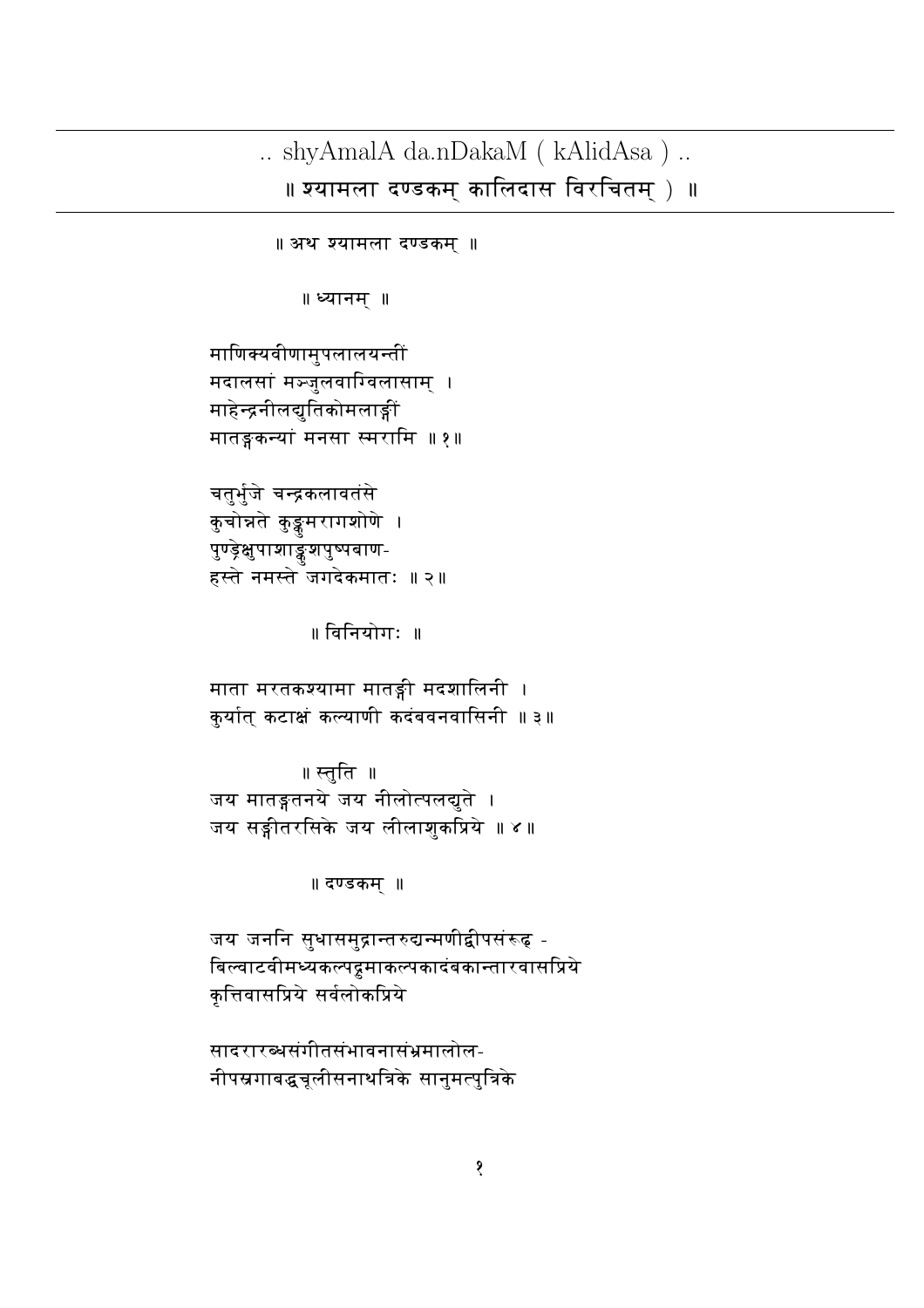## .. shyAmalA da.nDakaM ( $\text{kAlidAsa}$ ) .. ॥ श्यामला दण्डकम् कालिदास विरचितम् ) ॥

॥ अथ श्यामला दण्डकम् ॥

॥ ध्यानम् ॥

माणिक्यवीणामुपलालयन्तीं मदालसां मञ्जुलवाग्विलासाम् । माहेन्द्रनीलद्युतिकोमलाङ्गी मातङ्गकन्यां मनसा स्मरामि ॥१॥

चतुर्भुजे चन्द्रकलावतंसे कुचोन्नते कुङ्कुमरागशोणे । पुण्ड्रेक्षुपाशाङ्कशपुष्पबाण-हस्ते नमस्ते जगदेकमातः ॥२॥

॥ विनियोगः ॥

माता मरतकश्यामा मातङ्गी मदशालिनी । कुर्यात् कटाक्षं कल्याणी कदंबवनवासिनी ॥३॥

॥ स्तुति ॥ जय मातङ्गतनये जय नीलोत्पलद्युते । जय सङ्गीतरसिके जय लीलाशुकप्रिये ॥४॥

॥ दण्डकम ॥

जय जननि सुधासमुद्रान्तरुद्यन्मणीद्वीपसंरूढ् -बिल्वाटवीमध्यकल्पढ्रमाकल्पकादंबकान्तारवासप्रिये कृत्तिवासप्रिये सर्वलोकप्रिये

सादरारब्धसंगीतसंभावनासंभ्रमालोल-नीपस्रगाबद्धचूलीसनाथत्रिके सानुमत्पुत्रिके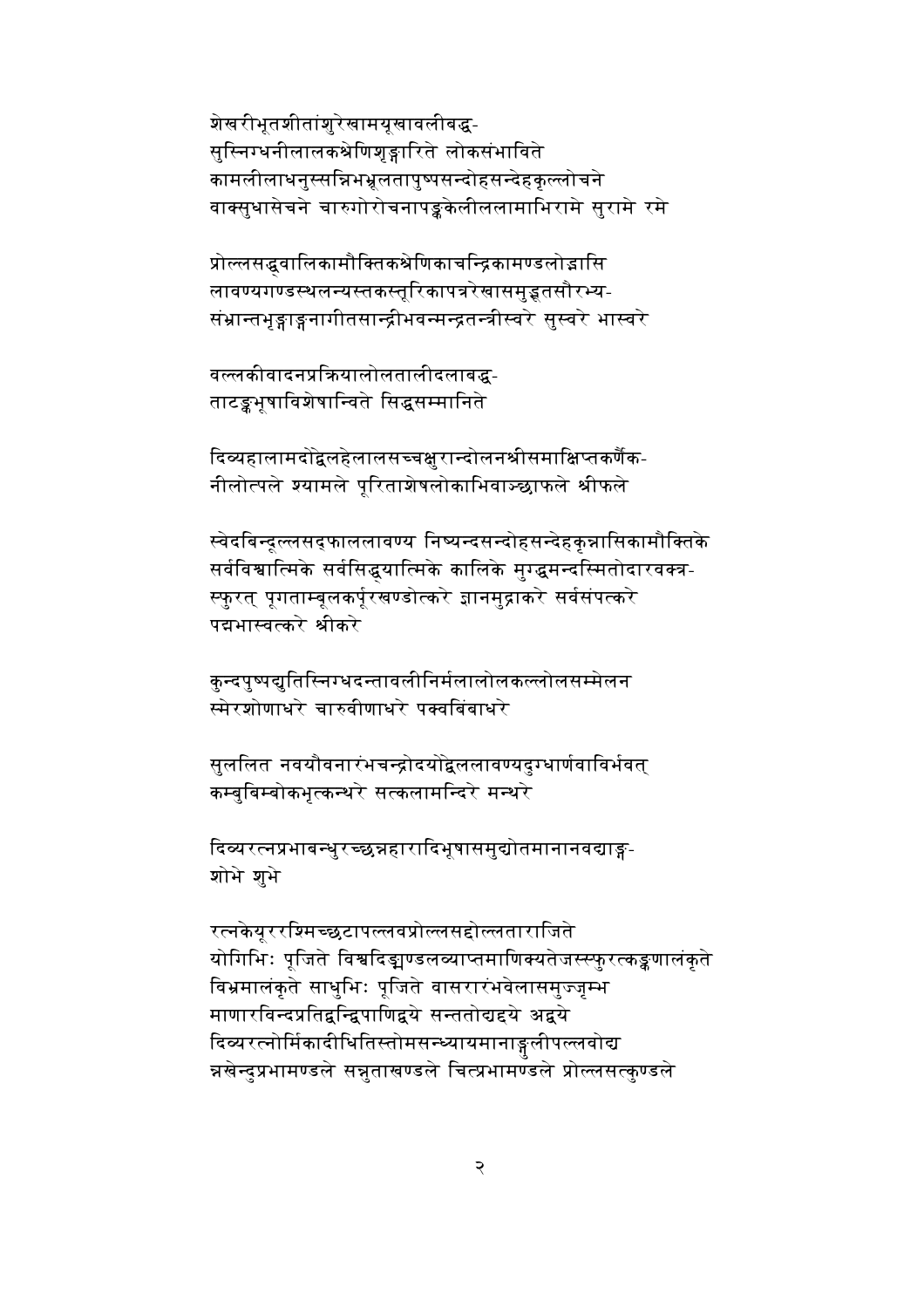शेखरीभूतशीतांशुरेखामयूखावलीबद्ध-सुस्निग्धनीलालकश्रेणिशृङ्गारिते लोकसंभाविते कामलीलाधनुस्सन्निभभ्रुलतापुष्पसन्दोहसन्देहकुल्लोचने वाक्सुधासेचने चारुगोरोचनापङ्कलेलीललामाभिरामे सुरामे रमे

प्रोल्लसद्धवालिकामौक्तिकश्रेणिकाचन्द्रिकामण्डलोद्गासि लावण्यगण्डस्थलन्यस्तकस्तूरिकापत्ररेखासमुड्भतसौरभ्य-संभ्रान्तभृङ्गाङ्गनागीतसान्द्रीभवन्मन्द्रतन्त्रीस्वरे सुस्वरे भास्वरे

वल्लकीवादनप्रक्रियालोलतालीदलाबद्ध-ताटङ्कभूषाविशेषान्विते सिद्धसम्मानिते

दिव्यहालामदोद्वेलहेलालसच्चक्षुरान्दोलनश्रीसमाक्षिप्तकर्णैक-नीलोत्पले श्यामले पूरिताशेषलोकाभिवाञ्छाफले श्रीफले

स्वेदबिन्दूल्लसद्फाललावण्य निष्यन्दसन्दोहसन्देहकुन्नासिकामौक्तिके सर्वविश्वात्मिके सर्वसिद्धयात्मिके कालिके मुग्द्धमन्दस्मितोदारवक्त्र-स्फुरत् पूगताम्बूलकर्पूरखण्डोत्करे ज्ञानमुद्राकरे सर्वसंपत्करे पद्यभास्वत्करे श्रीकरे

कुन्दपुष्पद्युतिस्निग्धदन्तावलीनिर्मलालोलकल्लोलसम्मेलन स्मेरशोणाधरे चारुवीणाधरे पक्वबिंबाधरे

सुललित नवयौवनारंभचन्द्रोदयोद्वेललावण्यदुग्धार्णवाविर्भवत् कम्बुबिम्बोकभुत्कन्थरे सत्कलामन्दिरे मन्थरे

दिव्यरत्नप्रभाबन्धुरच्छन्नहारादिभूषासमुद्योतमानानवद्याङ्ग-शोभे शुभे

रत्नकेयूररश्मिच्छुटापल्लवप्रोल्लसद्दोल्लताराजिते योगिभिः पुजिते विश्वदिङ्मण्डलव्याप्तमाणिक्यतेजस्स्फरत्कङ्कणालंकते विभ्रमालंकृते साधुभिः पूजिते वासरारंभवेलासमुज्जम्भ माणारविन्दप्रतिद्वन्द्विपाणिद्वये सन्ततोद्यद्दये अद्वये दिव्यरत्नोर्मिकादीधितिस्तोमसन्ध्यायमानाङ्गलीपल्लवोद्य न्नखेन्दुप्रभामण्डले सन्नुताखण्डले चित्प्रभामण्डले प्रोल्लसत्कुण्डले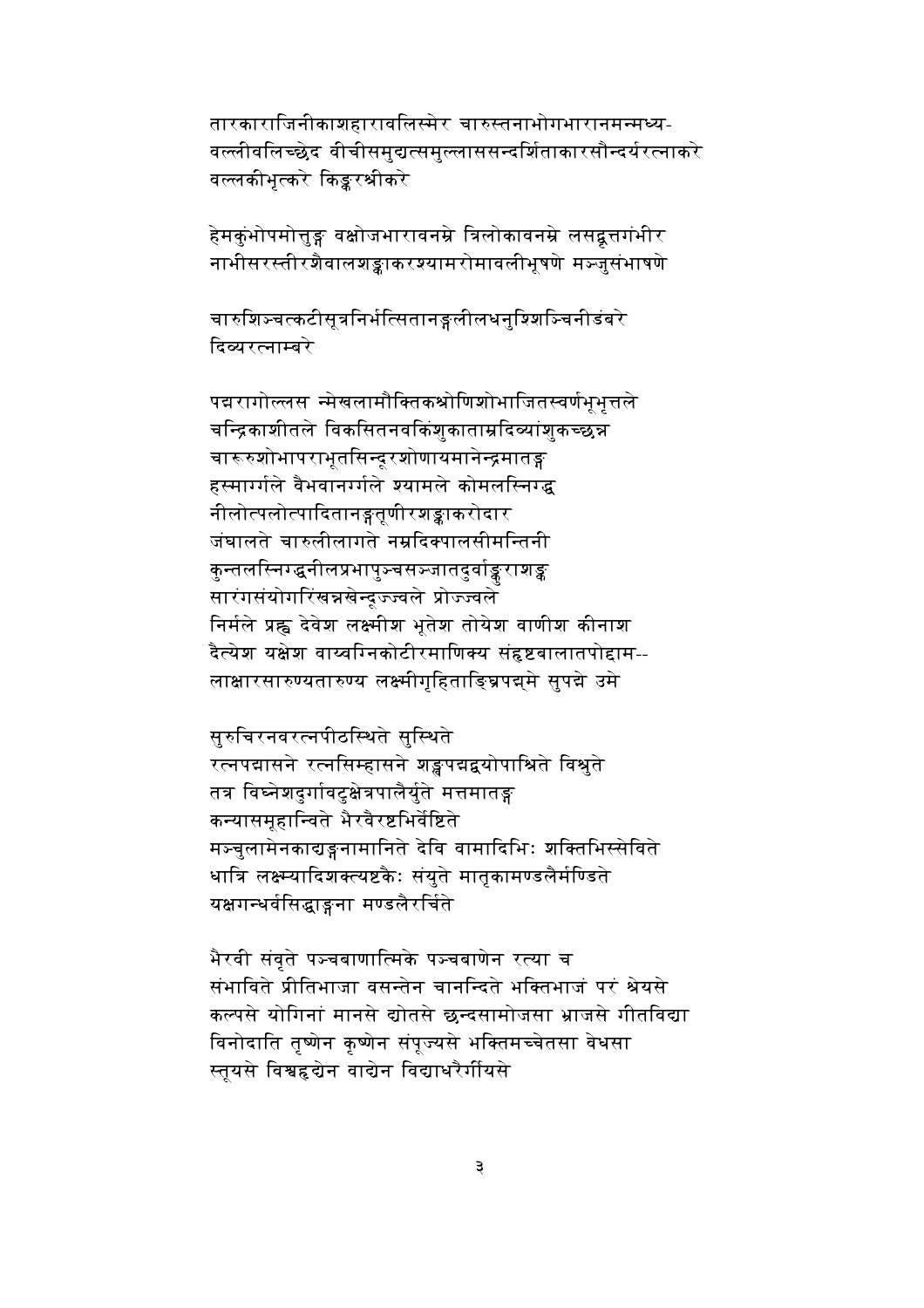तारकाराजिनीकाशहारावलिस्मेर चारुस्तनाभोगभारानमन्मध्य-वल्लीवलिच्छेद वीचीसमुद्यत्समुल्लाससन्दर्शिताकारसौन्दर्यरत्नाकरे वल्लकीभुत्करे किङ्करश्रीकरे

हेमकुंभोपमोत्तुङ्ग वक्षोजभारावनम्रे त्रिलोकावनम्रे लसद्वुत्तगंभीर नाभीसरस्तीरशैवालशङ्काकरश्यामरोमावलीभूषणे मञ्जुसंभाषणे

चारुशिञ्चत्कटीसुत्रनिर्भत्सितानङ्गलीलधनुश्शिञ्चिनीडंबरे दिव्यरत्नाम्बरे

पद्मरागोल्लस न्मेखलामौक्तिकश्रोणिशोभाजितस्वर्णभूभुत्तले चन्द्रिकाशीतले विकसितनवकिंशुकाताम्रदिव्यांशुकच्छन्न चारूरुशोभापराभृतसिन्दूरशोणायमानेन्द्रमातङ्ग हस्मार्ग्गले वैभवानर्ग्गले श्यामले कोमलस्निग्द्ध नीलोत्पलोत्पादितानङ्गतृणीरशङ्काकरोदार जंघालते चारुलीलागते नम्रदिक्पालसीमन्तिनी कुन्तलस्निग्द्धनीलप्रभापुञ्चसञ्जातदुर्वाङ्कराशङ्क सारंगसंयोगरिंखन्नखेन्द्रज्ज्वले प्रोज्ज्वले निर्मले प्रह्व देवेश लक्ष्मीश भूतेश तोयेश वाणीश कीनाश दैत्येश यक्षेश वाय्वग्निकोटीरमाणिक्य संह्रष्टबालातपोद्दाम--लाक्षारसारुण्यतारुण्य लक्ष्मीगृहिताङ्घ्रिपद्ममे सुपद्मे उमे

सूरुचिरनवरत्नपीठस्थिते सुस्थिते रत्नपद्मासने रत्नसिम्हासने शङ्कपद्मद्वयोपाश्रिते विश्वते तत्र विघ्नेशदुर्गावटुक्षेत्रपालैर्युते मत्तमातङ्ग कन्यासमूहान्विते भैरवैरष्टभिर्वेष्टिते मञ्चुलामेनकाद्यङ्गनामानिते देवि वामादिभिः शक्तिभिस्सेविते धात्रि लक्ष्म्यादिशक्त्यष्टकैः संयुते मातृकामण्डलैर्मण्डिते यक्षगन्धर्वसिद्धाङ्गना मण्डलैरर्चिते

भैरवी संवते पञ्चबाणात्मिके पञ्चबाणेन रत्या च संभाविते प्रीतिभाजा वसन्तेन चानन्दिते भक्तिभाजं परं श्रेयसे कल्पसे योगिनां मानसे द्योतसे छन्दसामोजसा भ्राजसे गीतविद्या विनोदाति तृष्णेन कृष्णेन संपूज्यसे भक्तिमच्चेतसा वेधसा स्तुयसे विश्वहृद्येन वाद्येन विद्याधरैर्गीयसे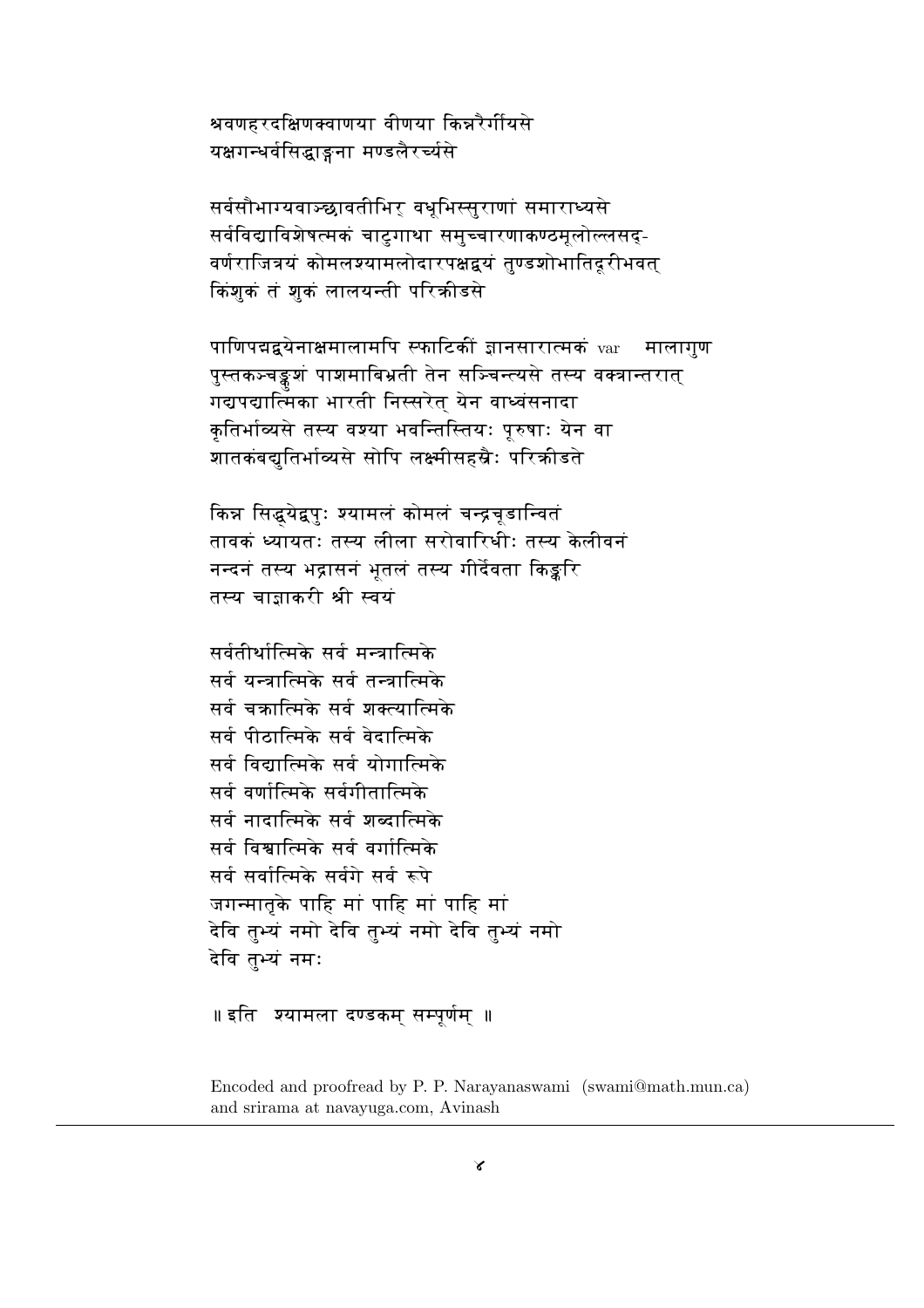श्रवणहरदक्षिणक्वाणया वीणया किन्नरैर्गीयसे यक्षगन्धर्वसिद्धाङ्गना मण्डलैरर्च्यसे

सर्वसौभाग्यवाञ्छावतीभिर् वधूभिस्सुराणां समाराध्यसे सर्वविद्याविशेषत्मकं चाटगाथा समच्चारणाकण्ठमलोल्लसद-वर्णराजित्रयं कोमलश्यामलोदारपक्षद्वयं तण्डशोभातिदरीभवत किशक तं शुकं लालयन्ती परिकीडसे

पाणिपद्मद्वयेनाक्षमालामपि स्फाटिकीं ज्ञानसारात्मकं var मालागुण पुस्तकञ्चङ्कश्चं पाशमाबिभ्रती तेन सञ्चिन्त्यसे तस्य वक्त्रान्तरात् गद्यपद्यात्मिका भारती निस्सरेत् येन वाध्वंसनादा कुतिर्भाव्यसे तस्य वश्या भवन्तिस्तियः पुरुषाः येन वा शातकंबद्युतिर्भाव्यसे सोपि लक्ष्मीसहस्रैः परिकीडते

किन्न सिद्धयेद्वपुः श्यामलं कोमलं चन्द्रचूडान्वितं तावकं ध्यायतः तस्य लीला सरोवारिधीः तस्य केलीवनं नन्दनं तस्य भद्रासनं भूतलं तस्य गीर्देवता किङ्करि तस्य चाजाकरी श्री स्वयं

सर्वतीर्थात्मिके सर्व मन्त्रात्मिके सर्व यन्त्रात्मिके सर्व तन्त्रात्मिके सर्व चक्रात्मिके सर्व शक्त्यात्मिके सर्व पीठात्मिके सर्व वेदात्मिके सर्व विद्यात्मिके सर्व योगात्मिके सर्व वर्णात्मिके सर्वगीतात्मिके सर्व नादात्मिके सर्व शब्दात्मिके सर्व विश्वात्मिके सर्व वर्गात्मिके सर्व सर्वात्मिके सर्वगे सर्व रूपे जगन्मातृके पाहि मां पाहि मां पाहि मां देवि तभ्यं नमो देवि तभ्यं नमो देवि तभ्यं नमो देवि तभ्यं नमः

```
॥ इति   श्यामला दण्डकम सम्पुर्णम  ॥
```
Encoded and proofread by P. P. Narayanaswami (swami@math.mun.ca) and srirama at navavuga.com. Avinash